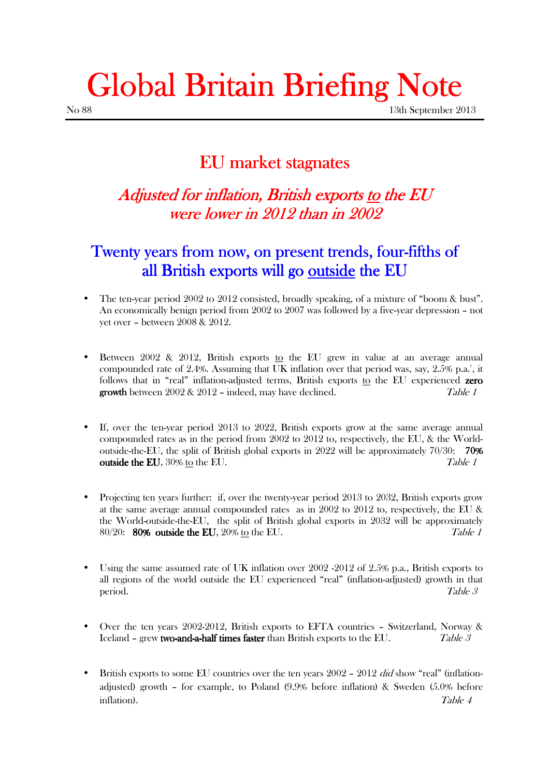# Global Britain Briefing Note

## EU market stagnates

#### Adjusted for inflation, British exports <u>to</u> the EU were lower in 2012 than in 2002

### Twenty years from now, on present trends, four-fifths of all British exports will go outside the EU

- The ten-year period 2002 to 2012 consisted, broadly speaking, of a mixture of "boom & bust". An economically benign period from 2002 to 2007 was followed by a five-year depression – not yet over – between 2008 & 2012.
- Between 2002 & 2012, British exports to the EU grew in value at an average annual compounded rate of 2.4%. Assuming that UK inflation over that period was, say, 2.5% p.a.<sup>1</sup>, it follows that in "real" inflation-adjusted terms, British exports to the EU experienced zero **growth** between  $2002 \& 2012$  – indeed, may have declined. Table 1
- If, over the tenyear period 2013 to 2022, British exports grow at the same average annual compounded rates as in the period from 2002 to 2012 to, respectively, the EU, & the Worldoutside-the-EU, the split of British global exports in 2022 will be approximately  $70/30$ : 70% **outside the EU**, 30% to the EU. **Table 1**
- Projecting ten years further: if, over the twentyyear period 2013 to 2032, British exports grow at the same average annual compounded rates as in 2002 to 2012 to, respectively, the EU & the World-outside-the-EU, the split of British global exports in 2032 will be approximately  $80/20$ :  $80\%$  outside the EU,  $20\%$  to the EU.
- Using the same assumed rate of UK inflation over 2002 2012 of 2.5% p.a., British exports to all regions of the world outside the EU experienced "real" (inflationadjusted) growth in that  $\Box$  Table 3
- Over the ten years 2002-2012, British exports to EFTA countries Switzerland, Norway & Iceland – grew two-and-a-half times faster than British exports to the EU.  $Table 3$
- British exports to some EU countries over the ten years  $2002 2012$  did show "real" (inflationadjusted) growth – for example, to Poland (9.9% before inflation) & Sweden (5.0% before inflation). Table 4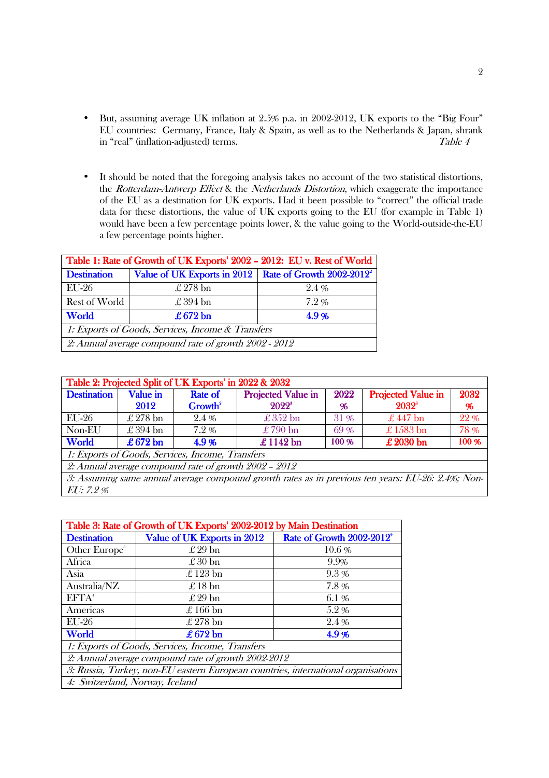- But, assuming average UK inflation at 2.5% p.a. in 2002-2012, UK exports to the "Big Four" EU countries: Germany, France, Italy & Spain, as well as to the Netherlands & Japan, shrank in "real" (inflation-adjusted) terms. Table 4
- It should be noted that the foregoing analysis takes no account of the two statistical distortions, the Rotterdam-Antwerp Effect & the Netherlands Distortion, which exaggerate the importance of the EU as a destination for UK exports. Had it been possible to "correct" the official trade data for these distortions, the value of UK exports going to the EU (for example in Table 1) would have been a few percentage points lower, & the value going to the World-outside-the-EU a few percentage points higher.

| Table 1: Rate of Growth of UK Exports' 2002 - 2012: EU v. Rest of World |                                                                     |         |  |  |
|-------------------------------------------------------------------------|---------------------------------------------------------------------|---------|--|--|
| <b>Destination</b>                                                      | Value of UK Exports in 2012   Rate of Growth 2002-2012 <sup>2</sup> |         |  |  |
| EU-26                                                                   | $\pounds$ 278 bn                                                    | 2.4%    |  |  |
| Rest of World                                                           | $\pounds 394$ bn                                                    | $7.2\%$ |  |  |
| World                                                                   | $\pounds 672$ bn                                                    | 4.9%    |  |  |
| 1: Exports of Goods, Services, Income & Transfers                       |                                                                     |         |  |  |
| 2: Annual average compound rate of growth 2002 - 2012                   |                                                                     |         |  |  |

| Growth <sup>2</sup><br>2.4%<br>7.2%                       | $2022^s$<br>%<br>$\pounds 352$ bn<br>31 %<br>$\pounds$ 790 bn<br>69% |  | $2032^s$<br>$\pounds 447$ bn<br>$£1583$ bn | %<br>22 %<br>78 %                                                                                 |  |  |  |
|-----------------------------------------------------------|----------------------------------------------------------------------|--|--------------------------------------------|---------------------------------------------------------------------------------------------------|--|--|--|
|                                                           |                                                                      |  |                                            |                                                                                                   |  |  |  |
|                                                           |                                                                      |  |                                            |                                                                                                   |  |  |  |
|                                                           |                                                                      |  |                                            |                                                                                                   |  |  |  |
| 4.9%                                                      | £1142 bn<br>100 %                                                    |  | $\pounds 2030$ bn                          | 100 %                                                                                             |  |  |  |
| 1: Exports of Goods, Services, Income, Transfers          |                                                                      |  |                                            |                                                                                                   |  |  |  |
| 2: Annual average compound rate of growth $2002$ – $2012$ |                                                                      |  |                                            |                                                                                                   |  |  |  |
|                                                           |                                                                      |  |                                            |                                                                                                   |  |  |  |
|                                                           |                                                                      |  |                                            | 3: Assuming same annual average compound growth rates as in previous ten years: EU-26: 2.4%; Non- |  |  |  |

| Table 3: Rate of Growth of UK Exports' 2002-2012 by Main Destination              |                             |                                       |  |  |
|-----------------------------------------------------------------------------------|-----------------------------|---------------------------------------|--|--|
| <b>Destination</b>                                                                | Value of UK Exports in 2012 | Rate of Growth 2002-2012 <sup>2</sup> |  |  |
| Other Europe <sup>3</sup>                                                         | $\pounds 29$ bn             | $10.6\%$                              |  |  |
| Africa                                                                            | $\pounds 30$ bn             | 9.9%                                  |  |  |
| Asia                                                                              | $\pounds$ 123 bn            | 9.3%                                  |  |  |
| Australia/NZ                                                                      | $\pounds 18$ bn             | 7.8%                                  |  |  |
| EFTA <sup>4</sup>                                                                 | $\pounds 29$ bn             | 6.1%                                  |  |  |
| Americas                                                                          | $\pounds 166$ bn            | 5.2%                                  |  |  |
| $EU-26$                                                                           | $\pounds$ 278 bn            | 2.4%                                  |  |  |
| World                                                                             | £ 672 bn                    | 4.9%                                  |  |  |
| 1: Exports of Goods, Services, Income, Transfers                                  |                             |                                       |  |  |
| 2: Annual average compound rate of growth 2002-2012                               |                             |                                       |  |  |
| 3: Russia, Turkey, non-EU eastern European countries, international organisations |                             |                                       |  |  |
| 4: Switzerland, Norway, Iceland                                                   |                             |                                       |  |  |